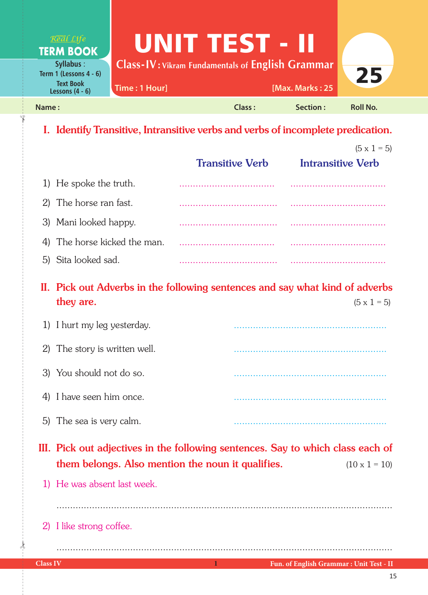| Real Life<br><b>TERM BOOK</b>                                      | UNIT TEST - II                                          |        |                  |                 |
|--------------------------------------------------------------------|---------------------------------------------------------|--------|------------------|-----------------|
| <b>Syllabus:</b>                                                   | <b>Class-IV: Vikram Fundamentals of English Grammar</b> |        |                  |                 |
| Term 1 (Lessons $4 - 6$ )<br><b>Text Book</b><br>Lessons $(4 - 6)$ | Time: 1 Hour]                                           |        | [Max. Marks: 25] | 25              |
| Name:                                                              |                                                         | Class: | Section :        | <b>Roll No.</b> |

## I. Identify Transitive, Intransitive verbs and verbs of incomplete predication.

|                              |                        | $(5 \times 1 = 5)$       |
|------------------------------|------------------------|--------------------------|
|                              | <b>Transitive Verb</b> | <b>Intransitive Verb</b> |
| 1) He spoke the truth.       |                        |                          |
| 2) The horse ran fast.       |                        |                          |
| 3) Mani looked happy.        |                        |                          |
| 4) The horse kicked the man. |                        |                          |
| 5) Sita looked sad.          |                        |                          |

II. Pick out Adverbs in the following sentences and say what kind of adverbs they are.  $(5 \times 1 = 5)$ 

| 1) I hurt my leg yesterday.   |  |
|-------------------------------|--|
| 2) The story is written well. |  |
| 3) You should not do so.      |  |
| 4) I have seen him once.      |  |
| 5) The sea is very calm.      |  |

III. Pick out adjectives in the following sentences. Say to which class each of them belongs. Also mention the noun it qualifies.  $(10 \times 1 = 10)$ 

...........................................................................................................................

1) He was absent last week.

2) I like strong coffee.

 $\frac{1}{2}$ 

✁

...........................................................................................................................